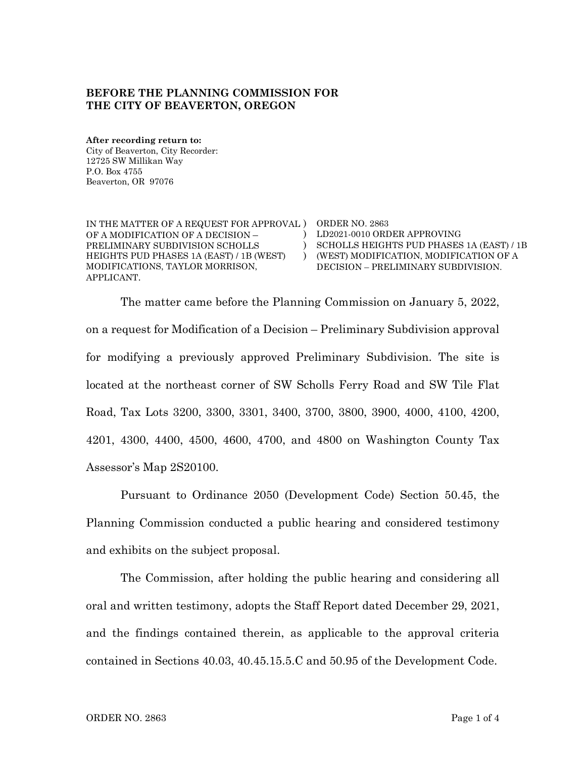## **BEFORE THE PLANNING COMMISSION FOR THE CITY OF BEAVERTON, OREGON**

**After recording return to:** City of Beaverton, City Recorder: 12725 SW Millikan Way P.O. Box 4755 Beaverton, OR 97076

IN THE MATTER OF A REQUEST FOR APPROVAL ) ORDER NO. 2863 OF A MODIFICATION OF A DECISION – PRELIMINARY SUBDIVISION SCHOLLS HEIGHTS PUD PHASES 1A (EAST) / 1B (WEST) MODIFICATIONS, TAYLOR MORRISON, APPLICANT.

) LD2021-0010 ORDER APPROVING ) SCHOLLS HEIGHTS PUD PHASES 1A (EAST) / 1B ) (WEST) MODIFICATION, MODIFICATION OF A DECISION – PRELIMINARY SUBDIVISION.

The matter came before the Planning Commission on January 5, 2022, on a request for Modification of a Decision – Preliminary Subdivision approval for modifying a previously approved Preliminary Subdivision. The site is located at the northeast corner of SW Scholls Ferry Road and SW Tile Flat Road, Tax Lots 3200, 3300, 3301, 3400, 3700, 3800, 3900, 4000, 4100, 4200, 4201, 4300, 4400, 4500, 4600, 4700, and 4800 on Washington County Tax Assessor's Map 2S20100.

Pursuant to Ordinance 2050 (Development Code) Section 50.45, the Planning Commission conducted a public hearing and considered testimony and exhibits on the subject proposal.

The Commission, after holding the public hearing and considering all oral and written testimony, adopts the Staff Report dated December 29, 2021, and the findings contained therein, as applicable to the approval criteria contained in Sections 40.03, 40.45.15.5.C and 50.95 of the Development Code.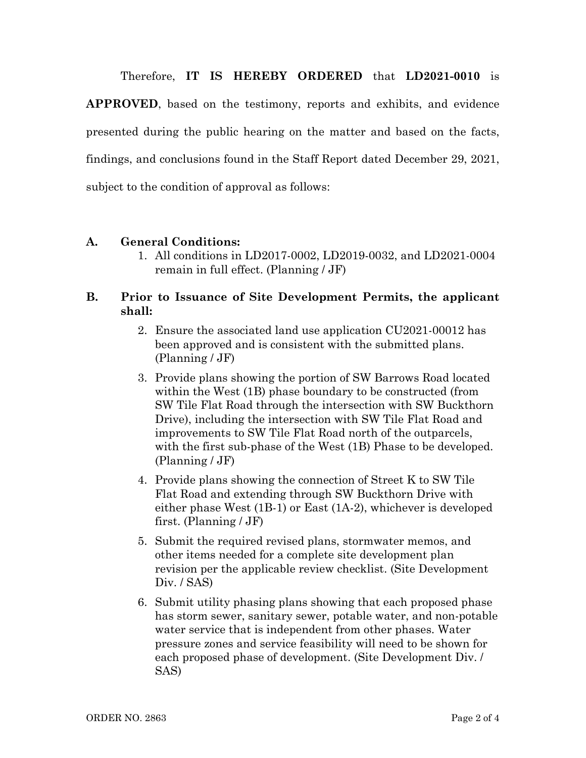Therefore, **IT IS HEREBY ORDERED** that **LD2021-0010** is

**APPROVED**, based on the testimony, reports and exhibits, and evidence presented during the public hearing on the matter and based on the facts, findings, and conclusions found in the Staff Report dated December 29, 2021, subject to the condition of approval as follows:

## **A. General Conditions:**

1. All conditions in LD2017-0002, LD2019-0032, and LD2021-0004 remain in full effect. (Planning / JF)

## **B. Prior to Issuance of Site Development Permits, the applicant shall:**

- 2. Ensure the associated land use application CU2021-00012 has been approved and is consistent with the submitted plans. (Planning / JF)
- 3. Provide plans showing the portion of SW Barrows Road located within the West (1B) phase boundary to be constructed (from SW Tile Flat Road through the intersection with SW Buckthorn Drive), including the intersection with SW Tile Flat Road and improvements to SW Tile Flat Road north of the outparcels, with the first sub-phase of the West (1B) Phase to be developed. (Planning / JF)
- 4. Provide plans showing the connection of Street K to SW Tile Flat Road and extending through SW Buckthorn Drive with either phase West (1B-1) or East (1A-2), whichever is developed first. (Planning / JF)
- 5. Submit the required revised plans, stormwater memos, and other items needed for a complete site development plan revision per the applicable review checklist. (Site Development Div. / SAS)
- 6. Submit utility phasing plans showing that each proposed phase has storm sewer, sanitary sewer, potable water, and non-potable water service that is independent from other phases. Water pressure zones and service feasibility will need to be shown for each proposed phase of development. (Site Development Div. / SAS)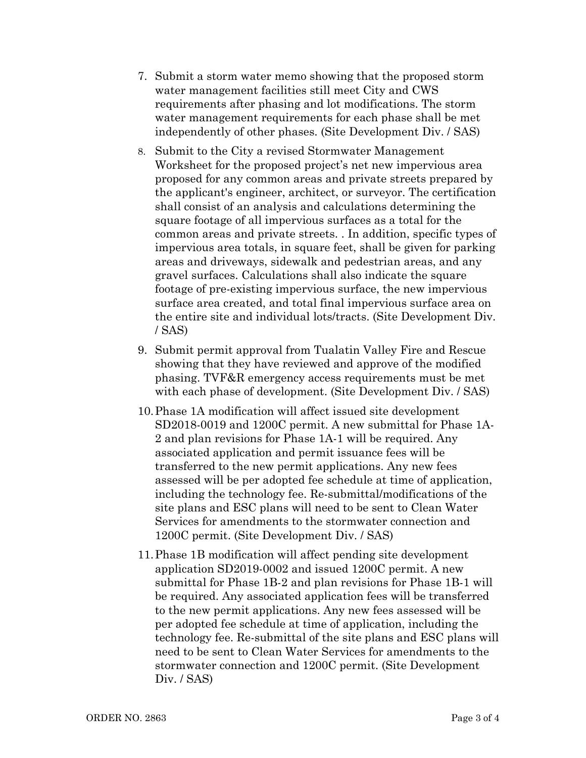- 7. Submit a storm water memo showing that the proposed storm water management facilities still meet City and CWS requirements after phasing and lot modifications. The storm water management requirements for each phase shall be met independently of other phases. (Site Development Div. / SAS)
- 8. Submit to the City a revised Stormwater Management Worksheet for the proposed project's net new impervious area proposed for any common areas and private streets prepared by the applicant's engineer, architect, or surveyor. The certification shall consist of an analysis and calculations determining the square footage of all impervious surfaces as a total for the common areas and private streets. . In addition, specific types of impervious area totals, in square feet, shall be given for parking areas and driveways, sidewalk and pedestrian areas, and any gravel surfaces. Calculations shall also indicate the square footage of pre-existing impervious surface, the new impervious surface area created, and total final impervious surface area on the entire site and individual lots/tracts. (Site Development Div. / SAS)
- 9. Submit permit approval from Tualatin Valley Fire and Rescue showing that they have reviewed and approve of the modified phasing. TVF&R emergency access requirements must be met with each phase of development. (Site Development Div. / SAS)
- 10.Phase 1A modification will affect issued site development SD2018-0019 and 1200C permit. A new submittal for Phase 1A-2 and plan revisions for Phase 1A-1 will be required. Any associated application and permit issuance fees will be transferred to the new permit applications. Any new fees assessed will be per adopted fee schedule at time of application, including the technology fee. Re-submittal/modifications of the site plans and ESC plans will need to be sent to Clean Water Services for amendments to the stormwater connection and 1200C permit. (Site Development Div. / SAS)
- 11.Phase 1B modification will affect pending site development application SD2019-0002 and issued 1200C permit. A new submittal for Phase 1B-2 and plan revisions for Phase 1B-1 will be required. Any associated application fees will be transferred to the new permit applications. Any new fees assessed will be per adopted fee schedule at time of application, including the technology fee. Re-submittal of the site plans and ESC plans will need to be sent to Clean Water Services for amendments to the stormwater connection and 1200C permit. (Site Development Div. / SAS)